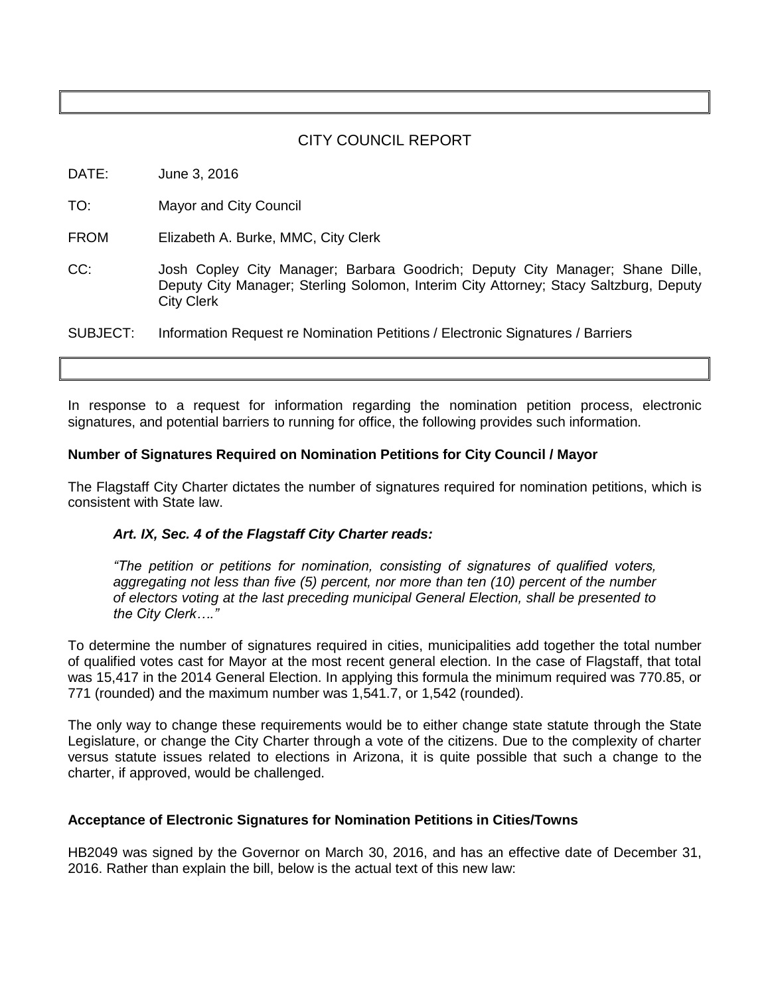# CITY COUNCIL REPORT

DATE: June 3, 2016

TO: Mayor and City Council

FROM Elizabeth A. Burke, MMC, City Clerk

CC: Josh Copley City Manager; Barbara Goodrich; Deputy City Manager; Shane Dille, Deputy City Manager; Sterling Solomon, Interim City Attorney; Stacy Saltzburg, Deputy City Clerk

SUBJECT: Information Request re Nomination Petitions / Electronic Signatures / Barriers

In response to a request for information regarding the nomination petition process, electronic signatures, and potential barriers to running for office, the following provides such information.

### **Number of Signatures Required on Nomination Petitions for City Council / Mayor**

The Flagstaff City Charter dictates the number of signatures required for nomination petitions, which is consistent with State law.

## *Art. IX, Sec. 4 of the Flagstaff City Charter reads:*

*"The petition or petitions for nomination, consisting of signatures of qualified voters, aggregating not less than five (5) percent, nor more than ten (10) percent of the number of electors voting at the last preceding municipal General Election, shall be presented to the City Clerk…."*

To determine the number of signatures required in cities, municipalities add together the total number of qualified votes cast for Mayor at the most recent general election. In the case of Flagstaff, that total was 15,417 in the 2014 General Election. In applying this formula the minimum required was 770.85, or 771 (rounded) and the maximum number was 1,541.7, or 1,542 (rounded).

The only way to change these requirements would be to either change state statute through the State Legislature, or change the City Charter through a vote of the citizens. Due to the complexity of charter versus statute issues related to elections in Arizona, it is quite possible that such a change to the charter, if approved, would be challenged.

#### **Acceptance of Electronic Signatures for Nomination Petitions in Cities/Towns**

HB2049 was signed by the Governor on March 30, 2016, and has an effective date of December 31, 2016. Rather than explain the bill, below is the actual text of this new law: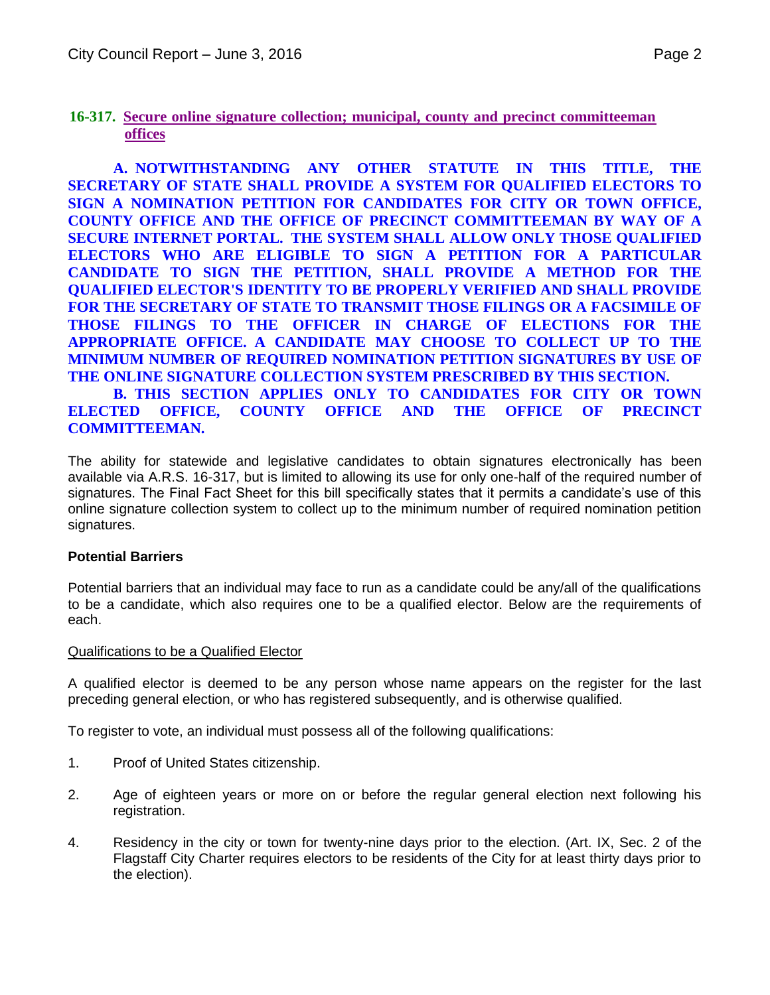# **16-317. Secure online signature collection; municipal, county and precinct committeeman offices**

**A. NOTWITHSTANDING ANY OTHER STATUTE IN THIS TITLE, THE SECRETARY OF STATE SHALL PROVIDE A SYSTEM FOR QUALIFIED ELECTORS TO SIGN A NOMINATION PETITION FOR CANDIDATES FOR CITY OR TOWN OFFICE, COUNTY OFFICE AND THE OFFICE OF PRECINCT COMMITTEEMAN BY WAY OF A SECURE INTERNET PORTAL. THE SYSTEM SHALL ALLOW ONLY THOSE QUALIFIED ELECTORS WHO ARE ELIGIBLE TO SIGN A PETITION FOR A PARTICULAR CANDIDATE TO SIGN THE PETITION, SHALL PROVIDE A METHOD FOR THE QUALIFIED ELECTOR'S IDENTITY TO BE PROPERLY VERIFIED AND SHALL PROVIDE FOR THE SECRETARY OF STATE TO TRANSMIT THOSE FILINGS OR A FACSIMILE OF THOSE FILINGS TO THE OFFICER IN CHARGE OF ELECTIONS FOR THE APPROPRIATE OFFICE. A CANDIDATE MAY CHOOSE TO COLLECT UP TO THE MINIMUM NUMBER OF REQUIRED NOMINATION PETITION SIGNATURES BY USE OF THE ONLINE SIGNATURE COLLECTION SYSTEM PRESCRIBED BY THIS SECTION.**

**B. THIS SECTION APPLIES ONLY TO CANDIDATES FOR CITY OR TOWN ELECTED OFFICE, COUNTY OFFICE AND THE OFFICE OF PRECINCT COMMITTEEMAN.** 

The ability for statewide and legislative candidates to obtain signatures electronically has been available via A.R.S. 16-317, but is limited to allowing its use for only one-half of the required number of signatures. The Final Fact Sheet for this bill specifically states that it permits a candidate's use of this online signature collection system to collect up to the minimum number of required nomination petition signatures.

## **Potential Barriers**

Potential barriers that an individual may face to run as a candidate could be any/all of the qualifications to be a candidate, which also requires one to be a qualified elector. Below are the requirements of each.

## Qualifications to be a Qualified Elector

A qualified elector is deemed to be any person whose name appears on the register for the last preceding general election, or who has registered subsequently, and is otherwise qualified.

To register to vote, an individual must possess all of the following qualifications:

- 1. Proof of United States citizenship.
- 2. Age of eighteen years or more on or before the regular general election next following his registration.
- 4. Residency in the city or town for twenty-nine days prior to the election. (Art. IX, Sec. 2 of the Flagstaff City Charter requires electors to be residents of the City for at least thirty days prior to the election).